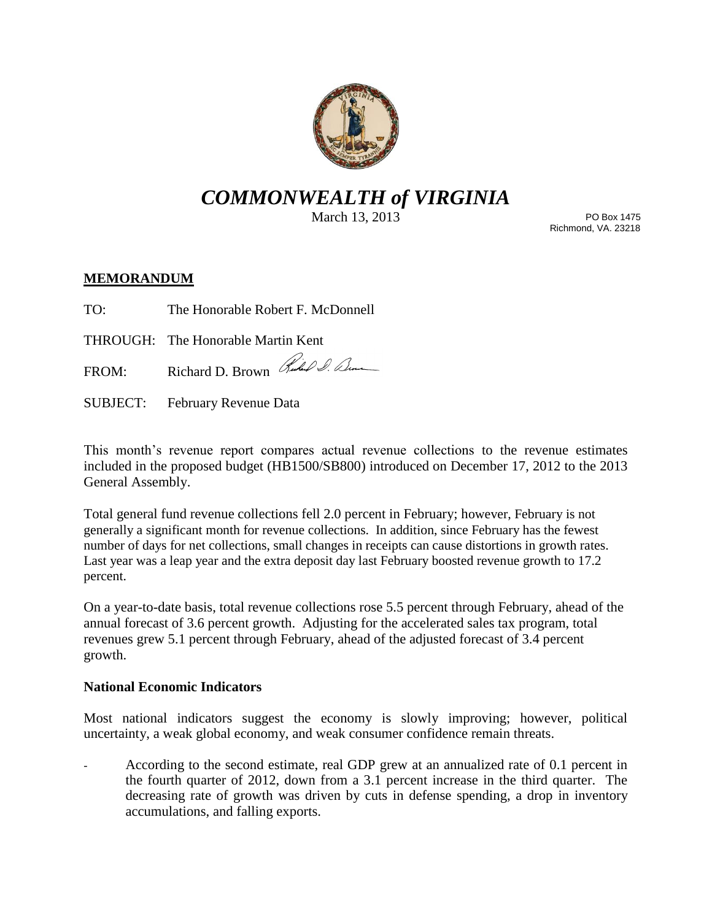

# *COMMONWEALTH of VIRGINIA*

March 13, 2013

PO Box 1475 Richmond, VA. 23218

## **MEMORANDUM**

TO: The Honorable Robert F. McDonnell

THROUGH: The Honorable Martin Kent

FROM: Richard D. Brown Rubel S. Denne

SUBJECT: February Revenue Data

This month's revenue report compares actual revenue collections to the revenue estimates included in the proposed budget (HB1500/SB800) introduced on December 17, 2012 to the 2013 General Assembly.

Total general fund revenue collections fell 2.0 percent in February; however, February is not generally a significant month for revenue collections. In addition, since February has the fewest number of days for net collections, small changes in receipts can cause distortions in growth rates. Last year was a leap year and the extra deposit day last February boosted revenue growth to 17.2 percent.

On a year-to-date basis, total revenue collections rose 5.5 percent through February, ahead of the annual forecast of 3.6 percent growth. Adjusting for the accelerated sales tax program, total revenues grew 5.1 percent through February, ahead of the adjusted forecast of 3.4 percent growth.

#### **National Economic Indicators**

Most national indicators suggest the economy is slowly improving; however, political uncertainty, a weak global economy, and weak consumer confidence remain threats.

According to the second estimate, real GDP grew at an annualized rate of 0.1 percent in the fourth quarter of 2012, down from a 3.1 percent increase in the third quarter. The decreasing rate of growth was driven by cuts in defense spending, a drop in inventory accumulations, and falling exports.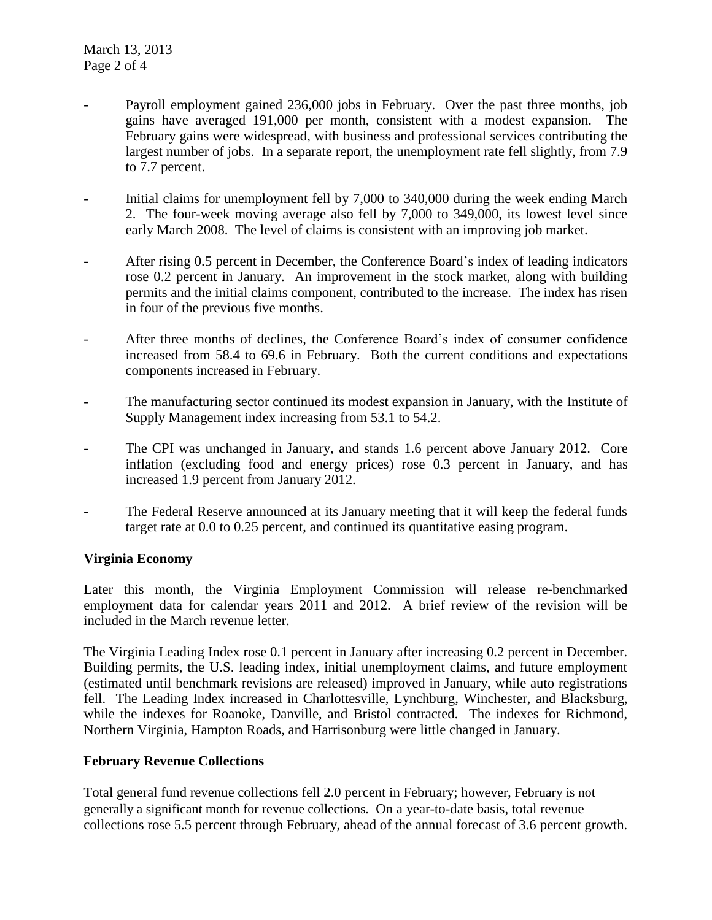- Payroll employment gained 236,000 jobs in February. Over the past three months, job gains have averaged 191,000 per month, consistent with a modest expansion. The February gains were widespread, with business and professional services contributing the largest number of jobs. In a separate report, the unemployment rate fell slightly, from 7.9 to 7.7 percent.
- Initial claims for unemployment fell by 7,000 to 340,000 during the week ending March 2. The four-week moving average also fell by 7,000 to 349,000, its lowest level since early March 2008. The level of claims is consistent with an improving job market.
- After rising 0.5 percent in December, the Conference Board's index of leading indicators rose 0.2 percent in January. An improvement in the stock market, along with building permits and the initial claims component, contributed to the increase. The index has risen in four of the previous five months.
- After three months of declines, the Conference Board's index of consumer confidence increased from 58.4 to 69.6 in February. Both the current conditions and expectations components increased in February.
- The manufacturing sector continued its modest expansion in January, with the Institute of Supply Management index increasing from 53.1 to 54.2.
- The CPI was unchanged in January, and stands 1.6 percent above January 2012. Core inflation (excluding food and energy prices) rose 0.3 percent in January, and has increased 1.9 percent from January 2012.
- The Federal Reserve announced at its January meeting that it will keep the federal funds target rate at 0.0 to 0.25 percent, and continued its quantitative easing program.

## **Virginia Economy**

Later this month, the Virginia Employment Commission will release re-benchmarked employment data for calendar years 2011 and 2012. A brief review of the revision will be included in the March revenue letter.

The Virginia Leading Index rose 0.1 percent in January after increasing 0.2 percent in December. Building permits, the U.S. leading index, initial unemployment claims, and future employment (estimated until benchmark revisions are released) improved in January, while auto registrations fell. The Leading Index increased in Charlottesville, Lynchburg, Winchester, and Blacksburg, while the indexes for Roanoke, Danville, and Bristol contracted. The indexes for Richmond, Northern Virginia, Hampton Roads, and Harrisonburg were little changed in January.

## **February Revenue Collections**

Total general fund revenue collections fell 2.0 percent in February; however, February is not generally a significant month for revenue collections. On a year-to-date basis, total revenue collections rose 5.5 percent through February, ahead of the annual forecast of 3.6 percent growth.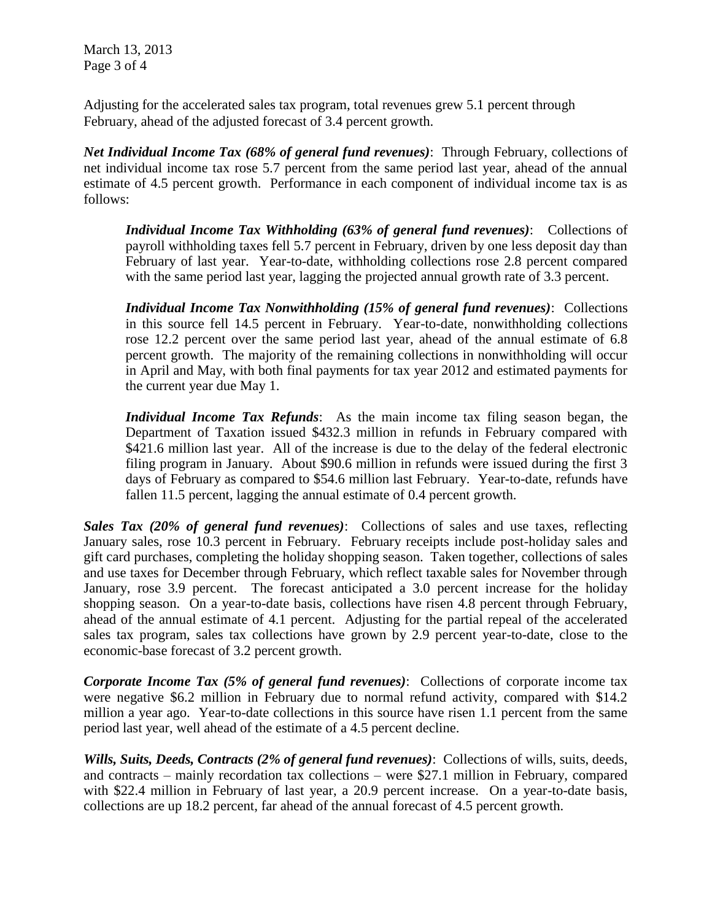March 13, 2013 Page 3 of 4

Adjusting for the accelerated sales tax program, total revenues grew 5.1 percent through February, ahead of the adjusted forecast of 3.4 percent growth.

*Net Individual Income Tax (68% of general fund revenues)*: Through February, collections of net individual income tax rose 5.7 percent from the same period last year, ahead of the annual estimate of 4.5 percent growth. Performance in each component of individual income tax is as follows:

*Individual Income Tax Withholding (63% of general fund revenues)*: Collections of payroll withholding taxes fell 5.7 percent in February, driven by one less deposit day than February of last year. Year-to-date, withholding collections rose 2.8 percent compared with the same period last year, lagging the projected annual growth rate of 3.3 percent.

*Individual Income Tax Nonwithholding (15% of general fund revenues)*: Collections in this source fell 14.5 percent in February. Year-to-date, nonwithholding collections rose 12.2 percent over the same period last year, ahead of the annual estimate of 6.8 percent growth. The majority of the remaining collections in nonwithholding will occur in April and May, with both final payments for tax year 2012 and estimated payments for the current year due May 1.

*Individual Income Tax Refunds*: As the main income tax filing season began, the Department of Taxation issued \$432.3 million in refunds in February compared with \$421.6 million last year. All of the increase is due to the delay of the federal electronic filing program in January. About \$90.6 million in refunds were issued during the first 3 days of February as compared to \$54.6 million last February. Year-to-date, refunds have fallen 11.5 percent, lagging the annual estimate of 0.4 percent growth.

*Sales Tax (20% of general fund revenues)*: Collections of sales and use taxes, reflecting January sales, rose 10.3 percent in February. February receipts include post-holiday sales and gift card purchases, completing the holiday shopping season. Taken together, collections of sales and use taxes for December through February, which reflect taxable sales for November through January, rose 3.9 percent. The forecast anticipated a 3.0 percent increase for the holiday shopping season. On a year-to-date basis, collections have risen 4.8 percent through February, ahead of the annual estimate of 4.1 percent. Adjusting for the partial repeal of the accelerated sales tax program, sales tax collections have grown by 2.9 percent year-to-date, close to the economic-base forecast of 3.2 percent growth.

*Corporate Income Tax (5% of general fund revenues)*: Collections of corporate income tax were negative \$6.2 million in February due to normal refund activity, compared with \$14.2 million a year ago. Year-to-date collections in this source have risen 1.1 percent from the same period last year, well ahead of the estimate of a 4.5 percent decline.

*Wills, Suits, Deeds, Contracts (2% of general fund revenues)*: Collections of wills, suits, deeds, and contracts – mainly recordation tax collections – were \$27.1 million in February, compared with \$22.4 million in February of last year, a 20.9 percent increase. On a year-to-date basis, collections are up 18.2 percent, far ahead of the annual forecast of 4.5 percent growth.